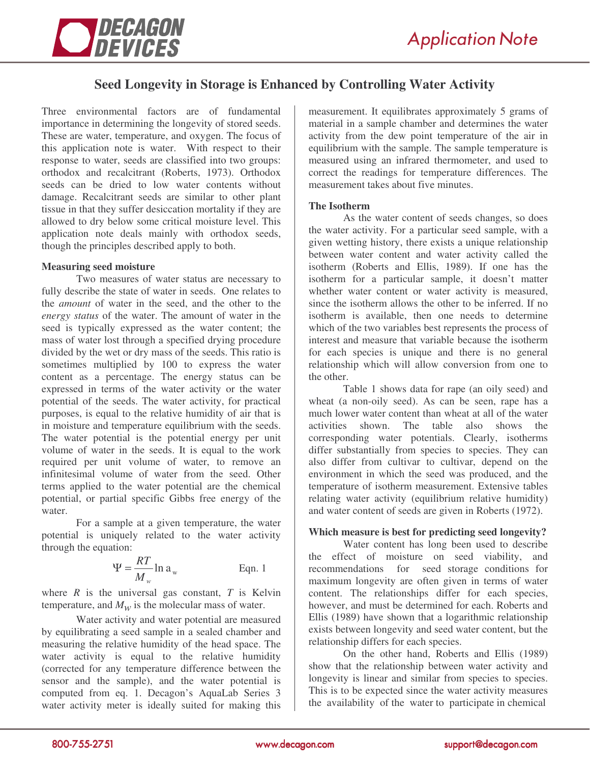

# **Seed Longevity in Storage is Enhanced by Controlling Water Activity**

Three environmental factors are of fundamental importance in determining the longevity of stored seeds. These are water, temperature, and oxygen. The focus of this application note is water. With respect to their response to water, seeds are classified into two groups: orthodox and recalcitrant (Roberts, 1973). Orthodox seeds can be dried to low water contents without damage. Recalcitrant seeds are similar to other plant tissue in that they suffer desiccation mortality if they are allowed to dry below some critical moisture level. This application note deals mainly with orthodox seeds, though the principles described apply to both.

### **Measuring seed moisture**

Two measures of water status are necessary to fully describe the state of water in seeds. One relates to the *amount* of water in the seed, and the other to the *energy status* of the water. The amount of water in the seed is typically expressed as the water content; the mass of water lost through a specified drying procedure divided by the wet or dry mass of the seeds. This ratio is sometimes multiplied by 100 to express the water content as a percentage. The energy status can be expressed in terms of the water activity or the water potential of the seeds. The water activity, for practical purposes, is equal to the relative humidity of air that is in moisture and temperature equilibrium with the seeds. The water potential is the potential energy per unit volume of water in the seeds. It is equal to the work required per unit volume of water, to remove an infinitesimal volume of water from the seed. Other terms applied to the water potential are the chemical potential, or partial specific Gibbs free energy of the water.

For a sample at a given temperature, the water potential is uniquely related to the water activity through the equation:

$$
\Psi = \frac{RT}{M_w} \ln a_w
$$
 Eqn. 1

where  $R$  is the universal gas constant,  $T$  is Kelvin temperature, and  $M_w$  is the molecular mass of water.

Water activity and water potential are measured by equilibrating a seed sample in a sealed chamber and measuring the relative humidity of the head space. The water activity is equal to the relative humidity (corrected for any temperature difference between the sensor and the sample), and the water potential is computed from eq. 1. Decagon's AquaLab Series 3 water activity meter is ideally suited for making this

measurement. It equilibrates approximately 5 grams of material in a sample chamber and determines the water activity from the dew point temperature of the air in equilibrium with the sample. The sample temperature is measured using an infrared thermometer, and used to correct the readings for temperature differences. The measurement takes about five minutes.

## **The Isotherm**

As the water content of seeds changes, so does the water activity. For a particular seed sample, with a given wetting history, there exists a unique relationship between water content and water activity called the isotherm (Roberts and Ellis, 1989). If one has the isotherm for a particular sample, it doesn't matter whether water content or water activity is measured, since the isotherm allows the other to be inferred. If no isotherm is available, then one needs to determine which of the two variables best represents the process of interest and measure that variable because the isotherm for each species is unique and there is no general relationship which will allow conversion from one to the other.

Table 1 shows data for rape (an oily seed) and wheat (a non-oily seed). As can be seen, rape has a much lower water content than wheat at all of the water activities shown. The table also shows the corresponding water potentials. Clearly, isotherms differ substantially from species to species. They can also differ from cultivar to cultivar, depend on the environment in which the seed was produced, and the temperature of isotherm measurement. Extensive tables relating water activity (equilibrium relative humidity) and water content of seeds are given in Roberts (1972).

## **Which measure is best for predicting seed longevity?**

Water content has long been used to describe the effect of moisture on seed viability, and recommendations for seed storage conditions for maximum longevity are often given in terms of water content. The relationships differ for each species, however, and must be determined for each. Roberts and Ellis (1989) have shown that a logarithmic relationship exists between longevity and seed water content, but the relationship differs for each species.

On the other hand, Roberts and Ellis (1989) show that the relationship between water activity and longevity is linear and similar from species to species. This is to be expected since the water activity measures the availability of the water to participate in chemical